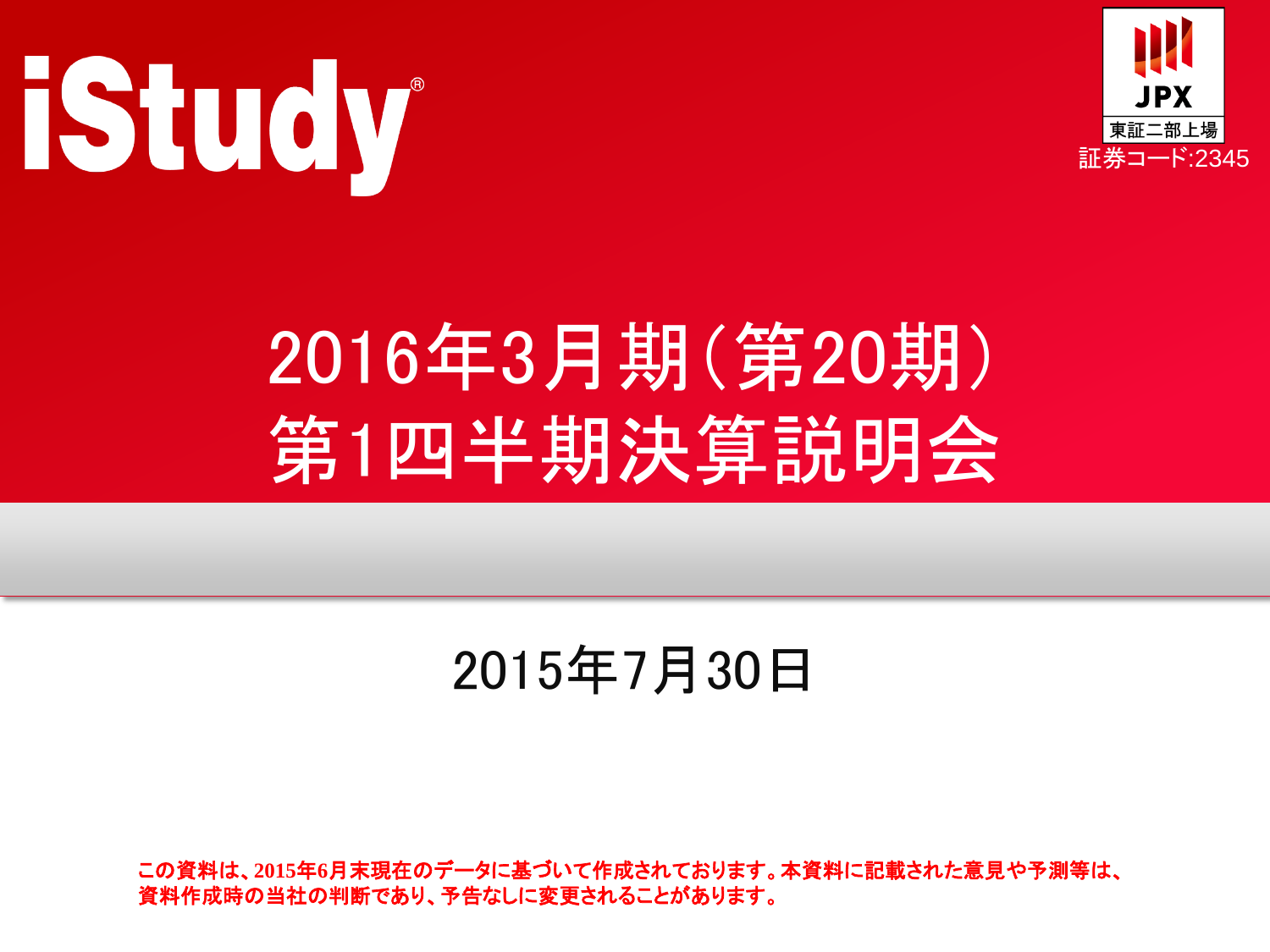



# 2016年3月期(第20期) 第1四半期決算説明会

### 2015年7月30日

この資料は、**2015**年**6**月末現在のデータに基づいて作成されております。本資料に記載された意見や予測等は、 資料作成時の当社の判断であり、予告なしに変更されることがあります。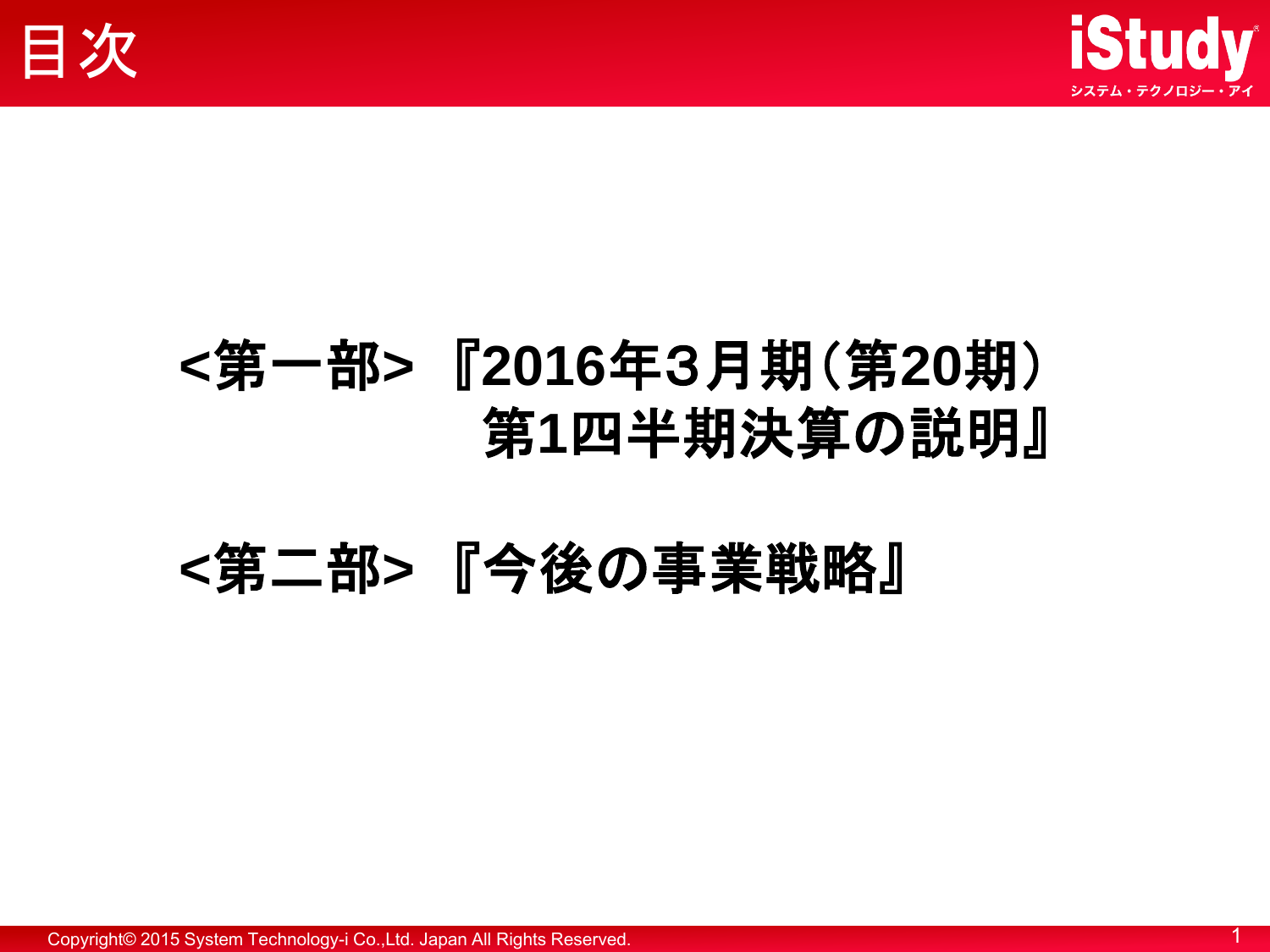



### **<**第一部**>** 『**2016**年3月期(第**20**期) 第**1**四半期決算の説明』

### **<**第二部**>** 『今後の事業戦略』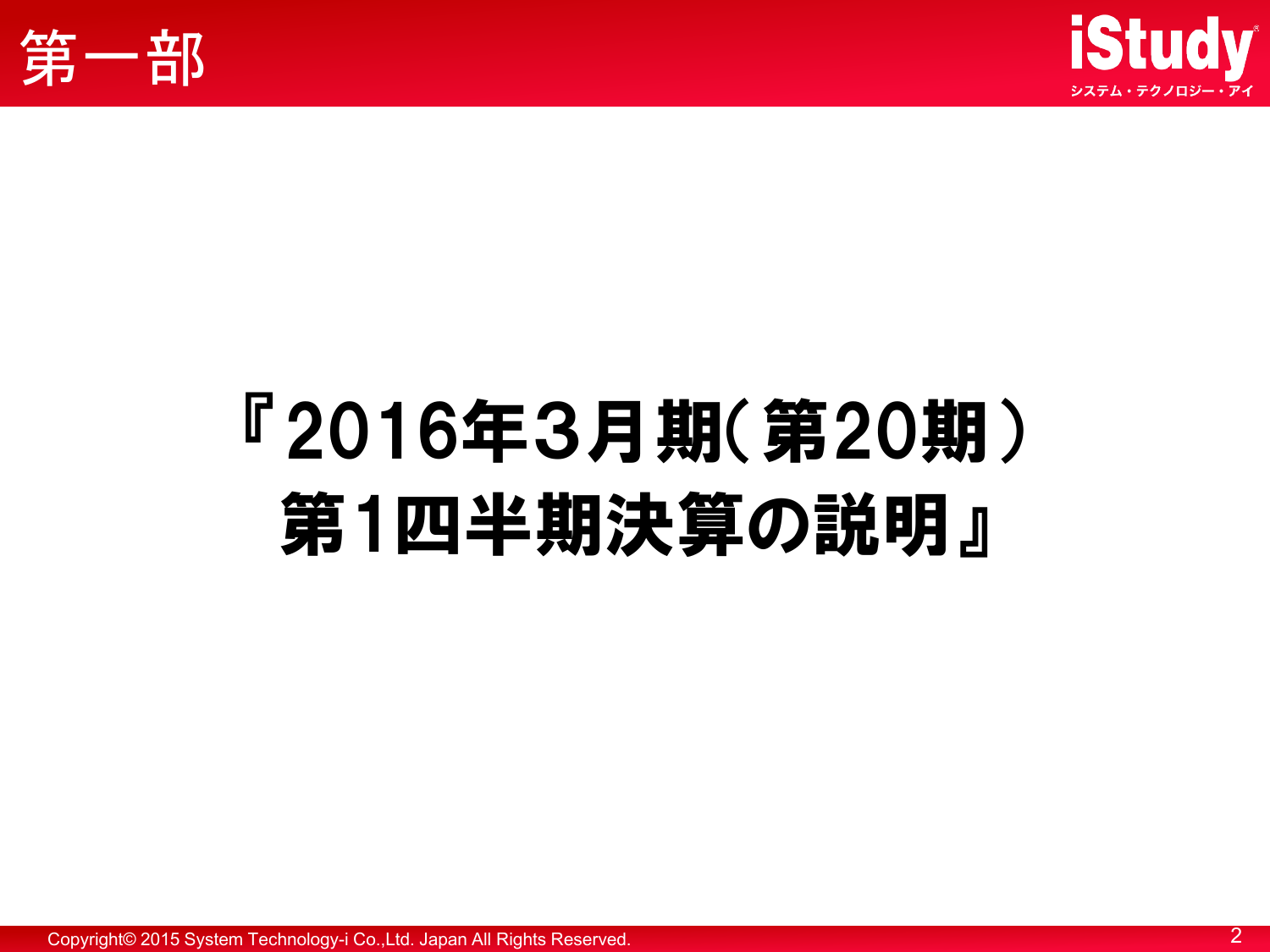



# 『2016年3月期(第20期) 第1四半期決算の説明』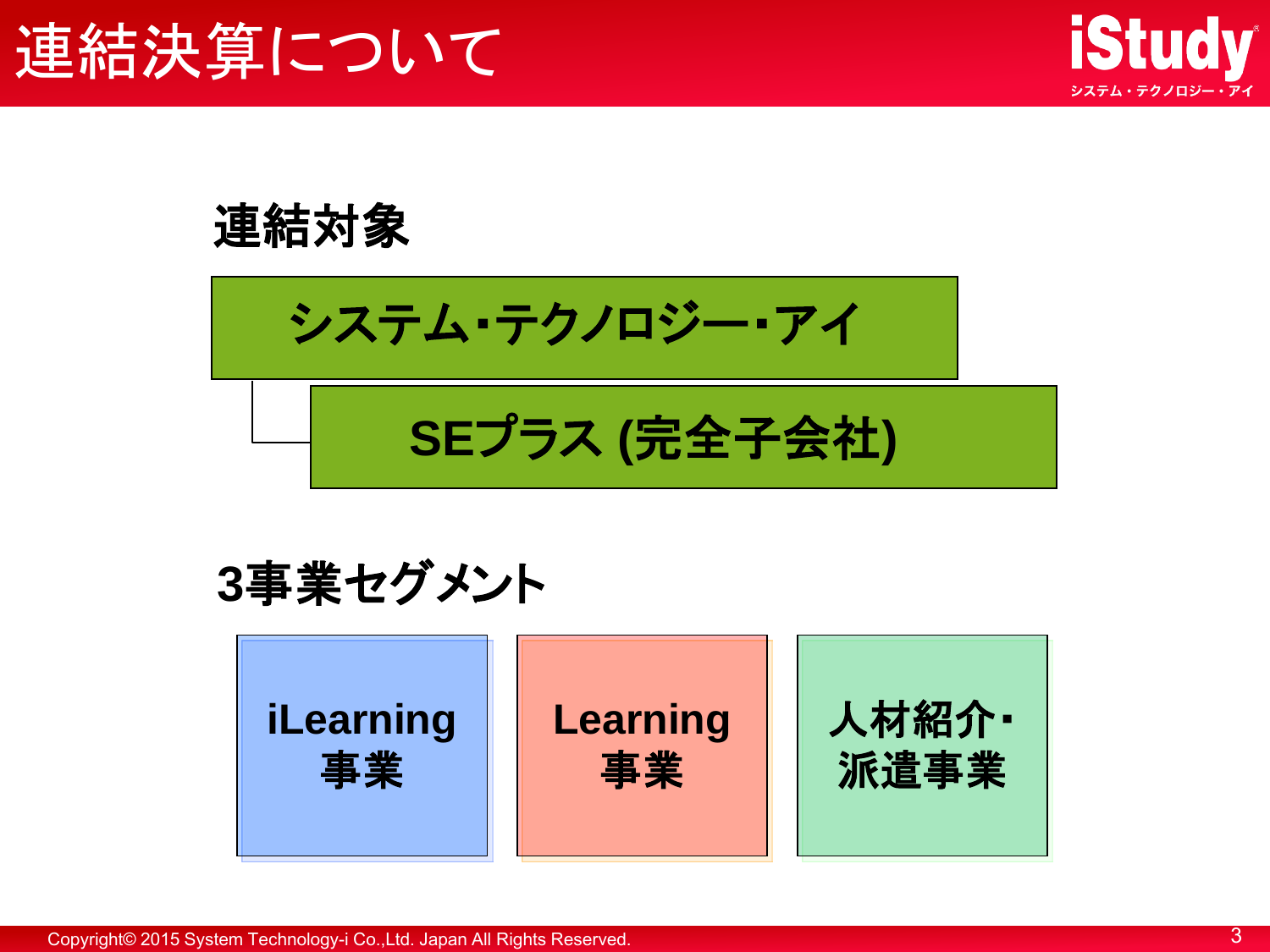

連結対象

システム・テクノロジー・アイ

**SE**プラス **(**完全子会社**)**

**3**事業セグメント

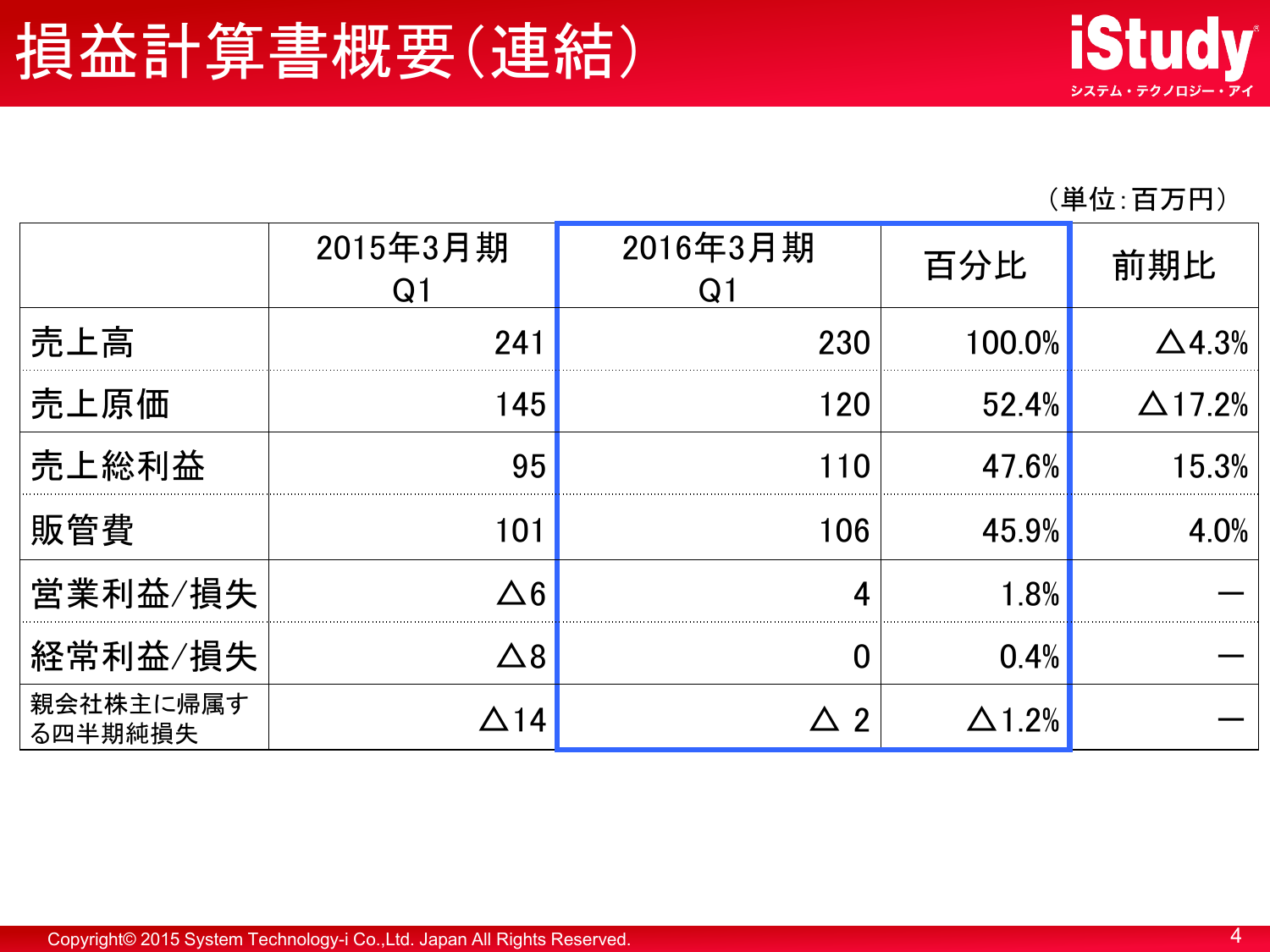#### (単位:百万円)

|                      | 2015年3月期     | 2016年3月期   | 百分比    | 前期比               |
|----------------------|--------------|------------|--------|-------------------|
| 売上高                  | 241          | 230        | 100.0% | $\Delta$ 4.3%     |
| 売上原価                 | 145          | 120        | 52.4%  | $\triangle$ 17.2% |
| 売上総利益                | 95           | <u> 10</u> | 47.6%  | 15.3%             |
| 販管費                  | 101          | 106        | 45.9%  | 4.0%              |
| 営業利益/損失              | へ 6          |            | 1.8%   |                   |
| 経常利益/損失              | $\Delta$ $8$ |            | 0.4%   |                   |
| 親会社株主に帰属す<br>る四半期純損失 |              | 2          | 1.2%   |                   |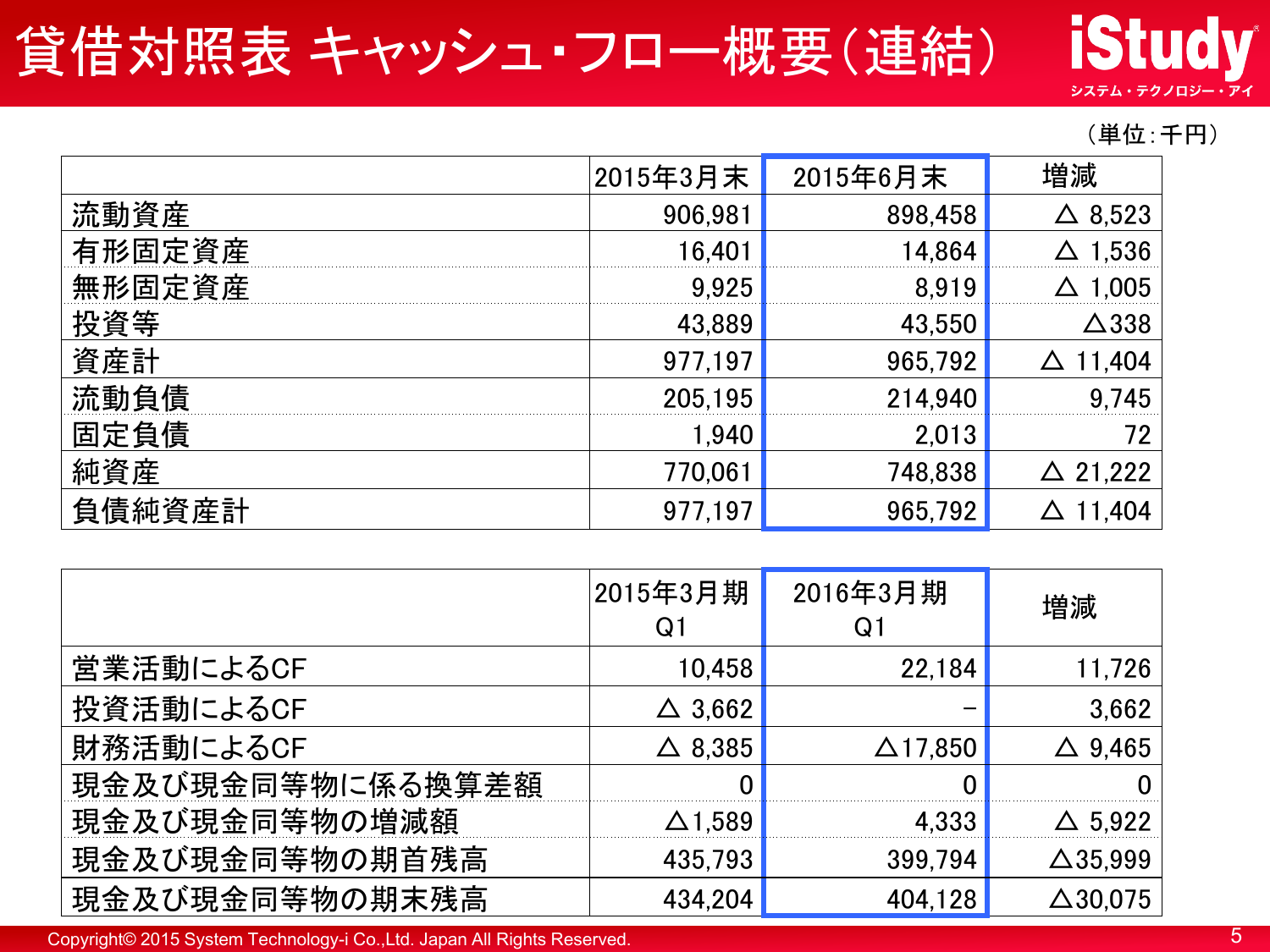### 貸借対照表 キャッシュ・フロー概要(連結)

**iStudy** システム・テクノロジー・アイ

#### (単位:千円)

|        | 2015年3月末 | 2015年6月末 | 増減                 |
|--------|----------|----------|--------------------|
| 流動資産   | 906,981  | 898,458  | 8,523              |
| 有形固定資産 | 16,401   | 14.864   | 1,536              |
| 無形固定資産 | 9.925    | 8.919    | 1,005              |
| 投資等    | 43,889   | 43,550   | $\Delta$ 338       |
| 資産計    | 977,197  | 965,792  | 1,404              |
| 流動負債   | 205,195  | 214,940  | 9,745              |
| 固定負債   | 1,940    | 2,013    | 72                 |
| 純資産    | 770,061  | 748,838  | $\triangle$ 21,222 |
| 負債純資産計 | 977,197  | 965,792  |                    |

|                  | 2015年3月期<br>$Q^{\dagger}$ | 2016年3月期<br>$Q_{\lambda}$ | 増減                 |
|------------------|---------------------------|---------------------------|--------------------|
| 営業活動によるCF        | 10,458                    | 22,184                    | 11,726             |
| 投資活動によるCF        | $\triangle$ 3,662         |                           | 3,662              |
| 財務活動によるCF        | $\triangle$ 8,385         | $\Delta$ 17,850           | 9,465<br>Δ         |
| 現金及び現金同等物に係る換算差額 |                           |                           |                    |
| 現金及び現金同等物の増減額    | $\Delta$ 1,589            | 4,333                     | $\triangle$ 5,922  |
| 現金及び現金同等物の期首残高   | 435,793                   | 399,794                   | $\Delta$ 35,999    |
| 現金及び現金同等物の期末残高   | 434,204                   | 404,128                   | $\triangle$ 30,075 |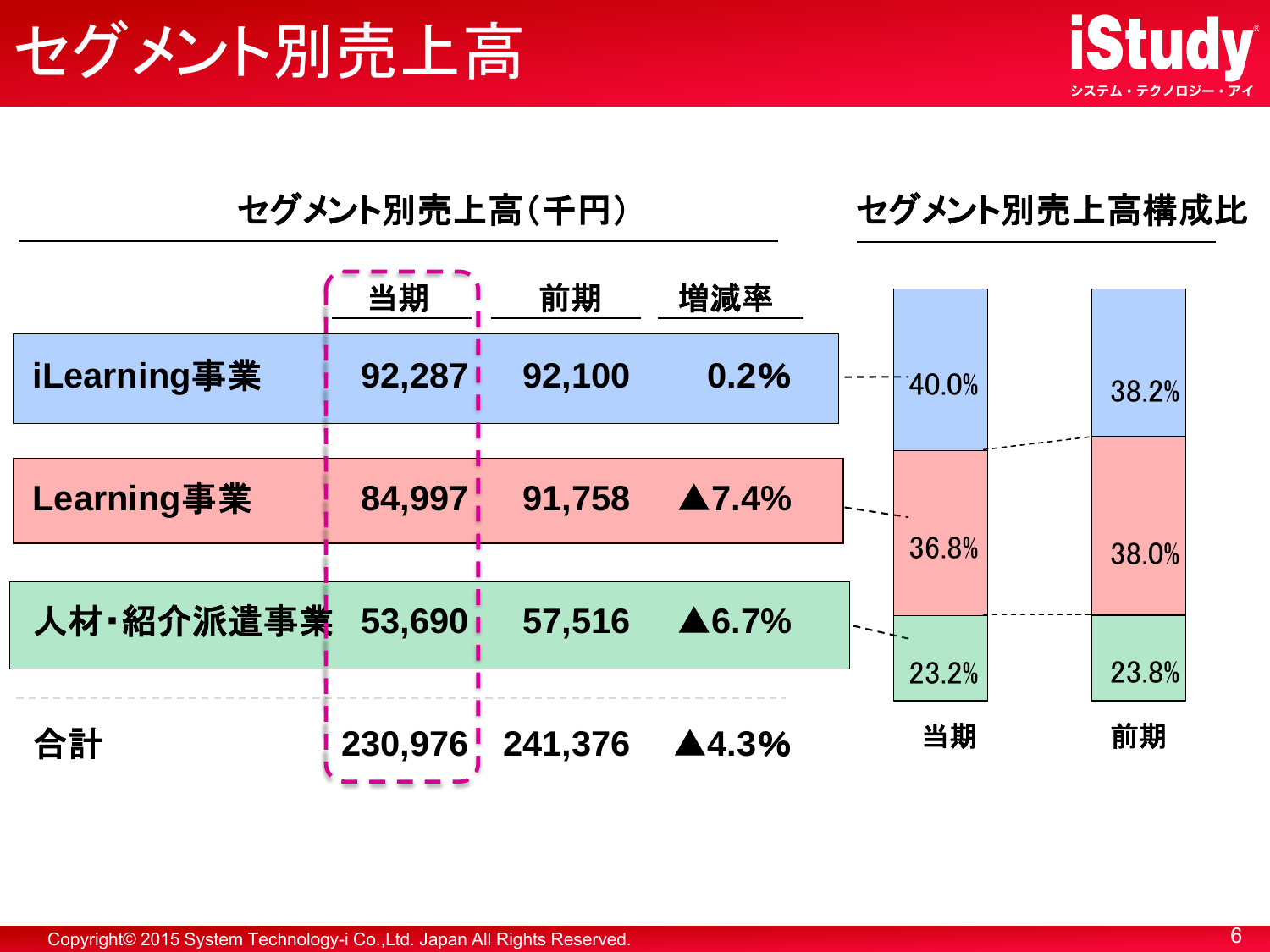



#### セグメント別売上高(千円) セグメント別売上高構成比

|             | 当期      | 前期      | 増減率                   |          |       |
|-------------|---------|---------|-----------------------|----------|-------|
| iLearning事業 | 92,2871 | 92,100  | 0.2%                  | $-40.0%$ | 38.2% |
|             |         |         |                       |          |       |
| Learning事業  | 84,997  | 91,758  | $\blacktriangle$ 7.4% |          |       |
|             |         |         |                       | 36.8%    | 38.0% |
| 人材·紹介派遣事業   | 53,690  | 57,516  | $\triangle 6.7\%$     |          |       |
|             |         |         |                       | 23.2%    | 23.8% |
|             |         |         |                       |          |       |
| 合計          | 230,976 | 241,376 | ▲4.3%                 | 当期       | 前期    |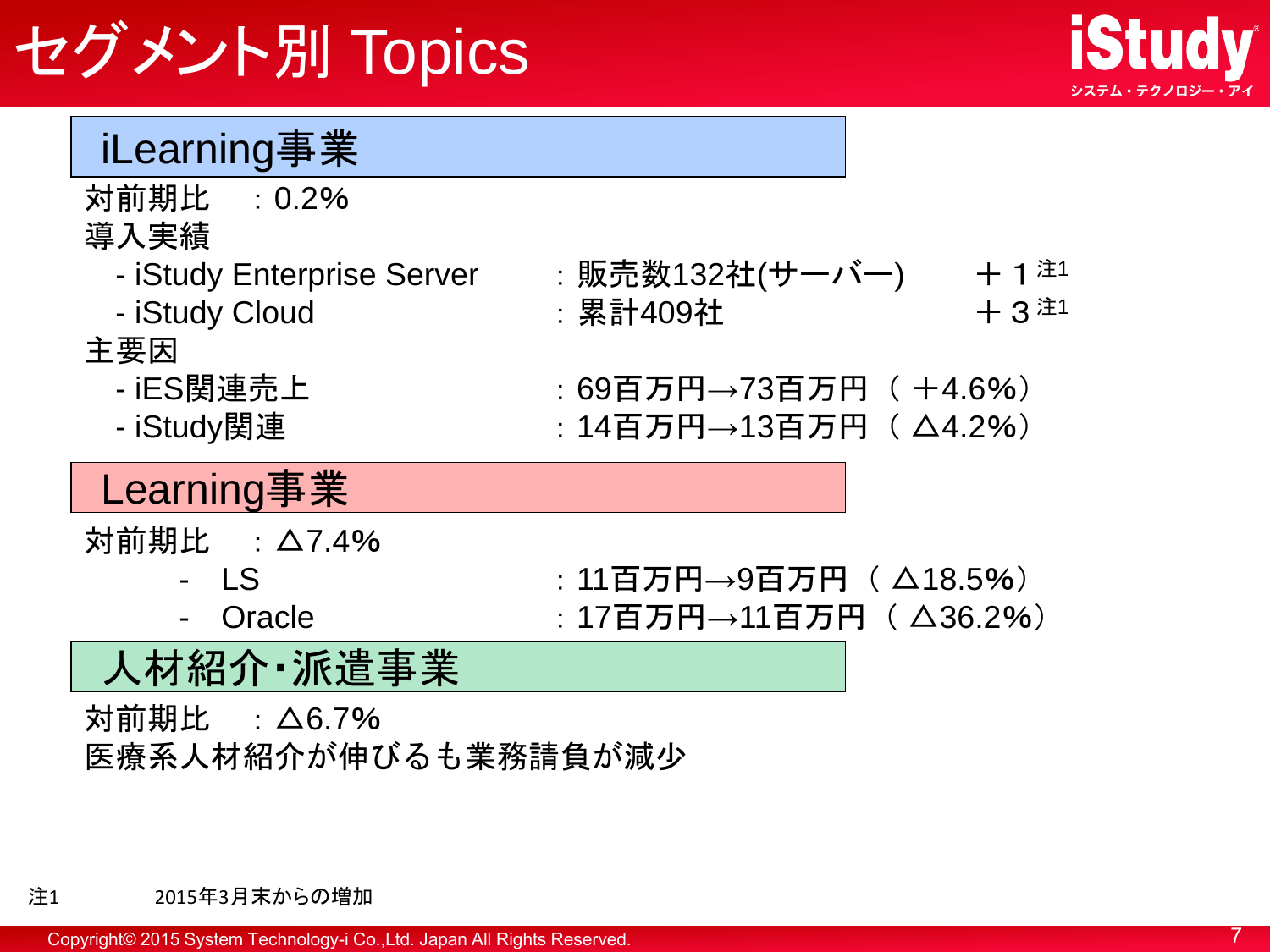## セグメント別 Topics



#### iLearning事業

- 対前期比 :0.2%
- 導入実績
	- iStudy Enterprise Server : 販売数132社(サーバー) + 1 <sup>注1</sup>
	-
	- iStudy Cloud : 累計409社 + 3 <sup>注1</sup>

#### 主要因

- 
- 

### - iES関連売上 :69百万円→73百万円( +4.6%)

- iStudy関連 :14百万円→13百万円( △4.2%)

#### Learning事業

対前期比 :△7.4%

- 
- LS : 11百万円→9百万円( △18.5%)  $Oracle$  : 17百万円→11百万円 ( △36.2%)

#### 人材紹介・派遣事業

対前期比 :△6.7% 医療系人材紹介が伸びるも業務請負が減少

#### 注1 2015年3月末からの増加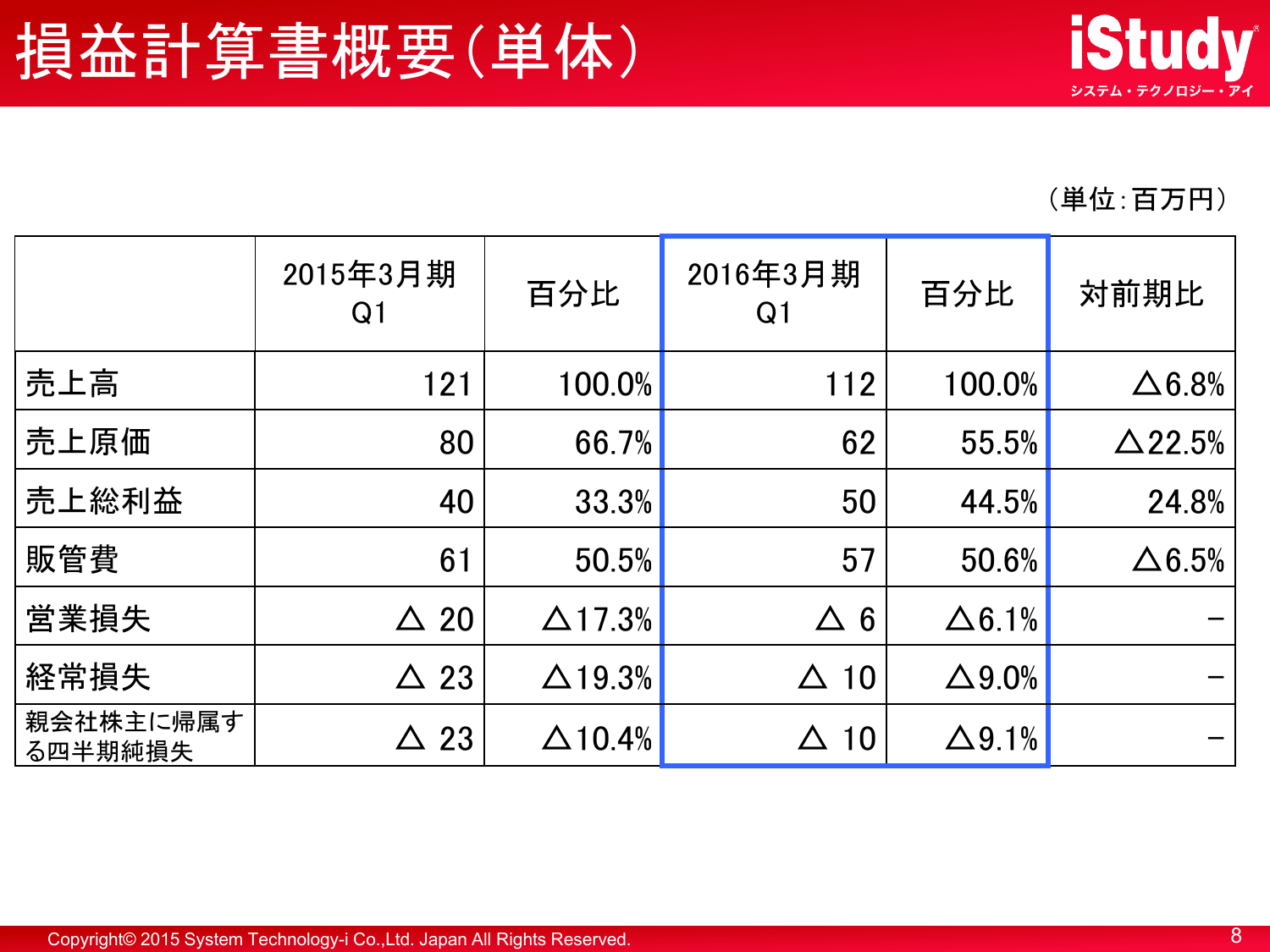(単位:百万円)

|                      | 2015年3月期<br>Q <sub>1</sub> | 百分比            | 2016年3月期<br>Q1 | 百分比           | 対前期比           |
|----------------------|----------------------------|----------------|----------------|---------------|----------------|
| 売上高                  | 121                        | 100.0%         | 112            | 100.0%        | $\Delta 6.8%$  |
| 売上原価                 | 80                         | 66.7%          | 62             | 55.5%         | $\Delta$ 22.5% |
| 売上総利益                | 40                         | 33.3%          | 50             | 44.5%         | 24.8%          |
| 販管費                  | 61                         | 50.5%          | 57             | 50.6%         | $\Delta 6.5%$  |
| 営業損失                 | $\triangle 20$             | $\Delta$ 17.3% | $\Delta$ 6     | $\Delta$ 6.1% |                |
| 経常損失                 | $\triangle$ 23             | $\Delta$ 19.3% | 10<br>$\Delta$ | $\Delta$ 9.0% |                |
| 親会社株主に帰属す<br>る四半期純損失 | $\triangle$ 23             | $\Delta$ 10.4% | $\Delta$ 10    | $\Delta$ 9.1% |                |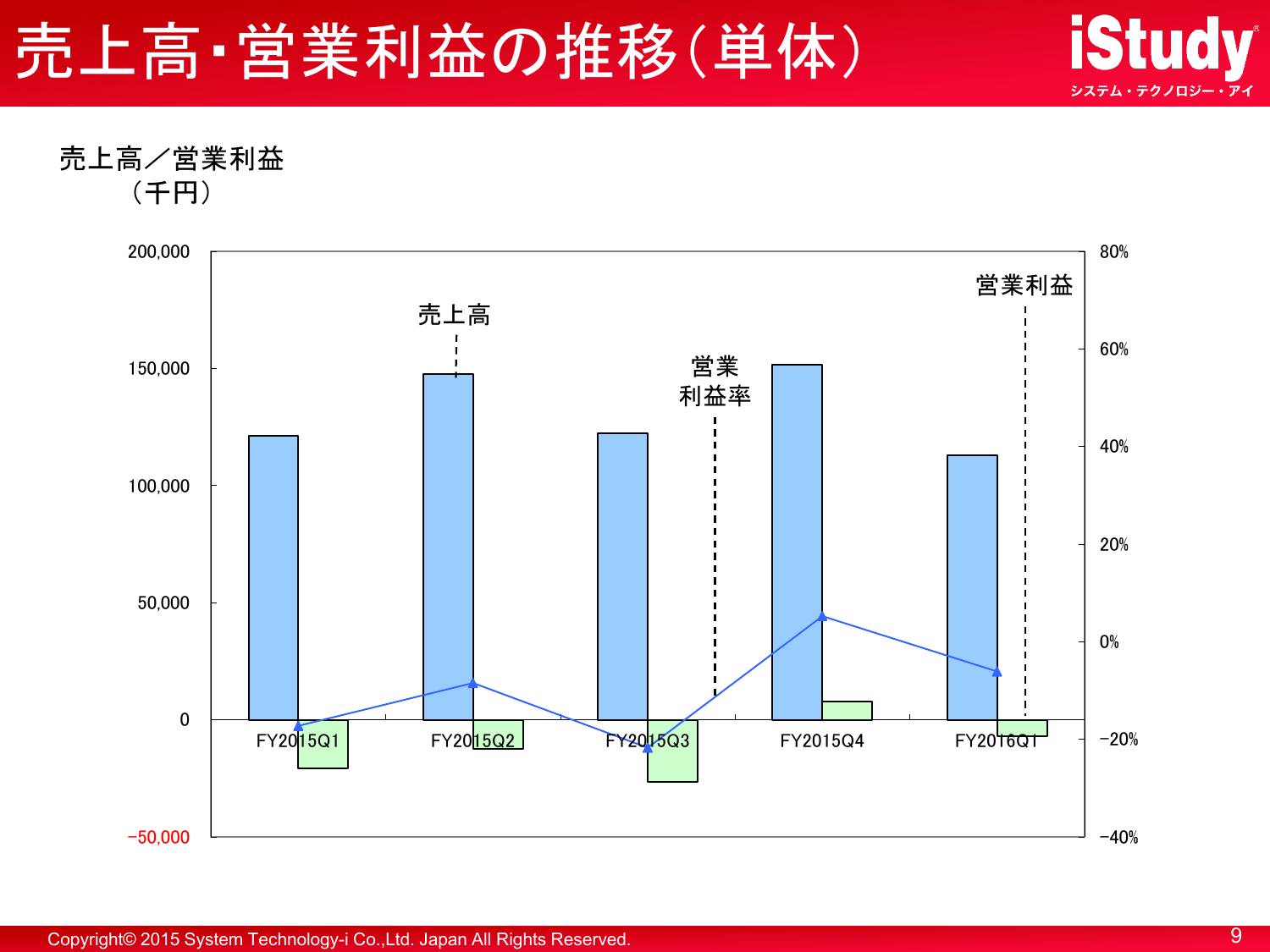



売上高/営業利益 (千円)

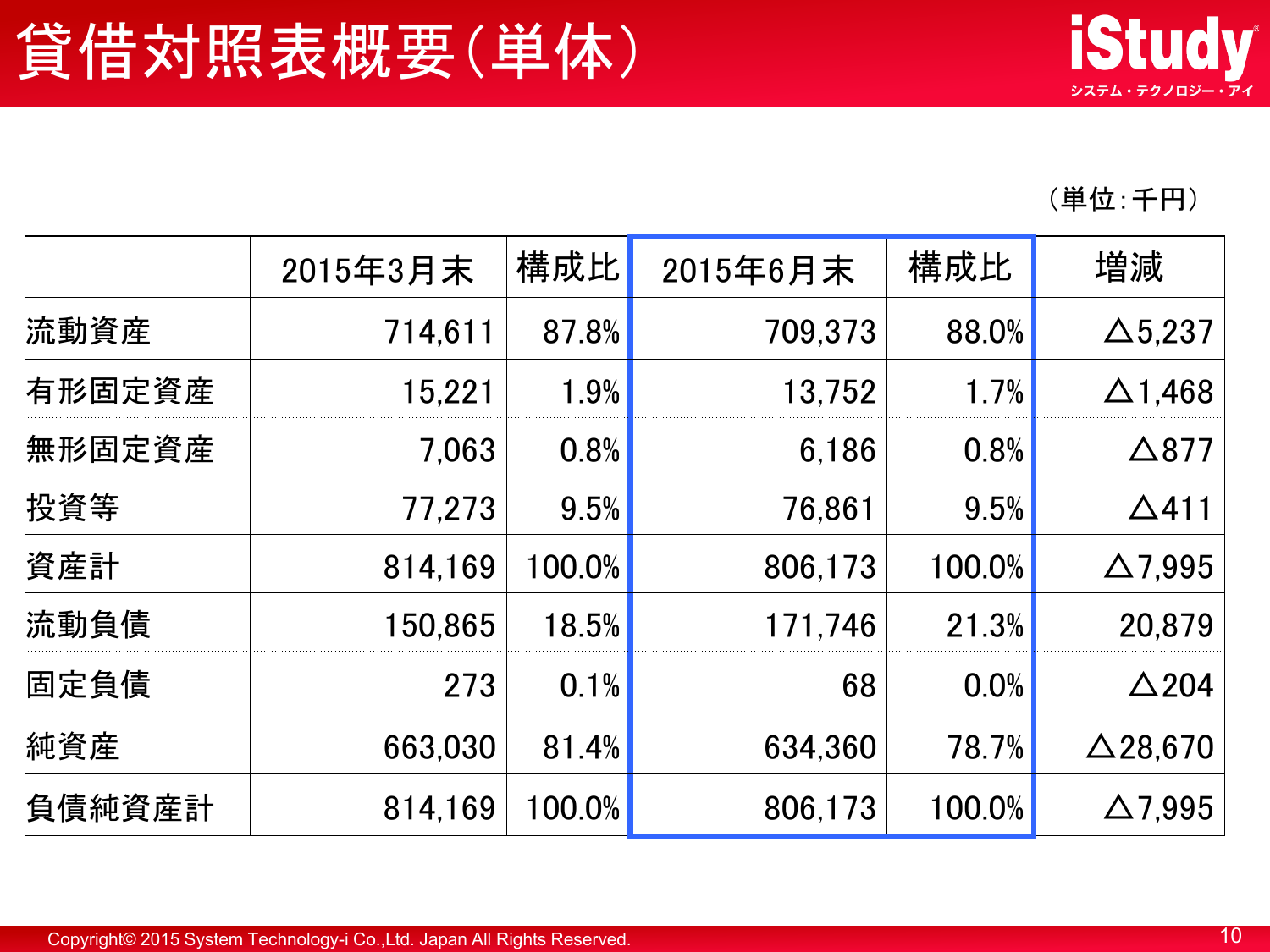(単位:千円)

|        | 2015年3月末 | 構成比       | 2015年6月末 | 構成比    | 増減              |
|--------|----------|-----------|----------|--------|-----------------|
| 流動資産   | 714,611  | 87.8%     | 709,373  | 88.0%  | $\Delta$ 5,237  |
| 有形固定資産 | 15,221   | 1.9%      | 13,752   | 1.7%   | $\Delta$ 1,468  |
| 無形固定資産 | 7.063    | 0.8%      | 6.186    | 0.8%   | $\triangle$ 877 |
| 投資等    | 77,273   | 9.5%      | 76,861   | 9.5%   | $\Delta$ 411    |
| 資産計    | 814,169  | 100.0%    | 806,173  | 100.0% | $\Delta$ 7,995  |
| 流動負債   | 150,865  | 18.5%     | 171,746  | 21.3%  | 20,879          |
| 固定負債   | 273      | 0.1%      | 68       | 0.0%   | $\triangle$ 204 |
| 純資産    | 663,030  | 81.4%     | 634,360  | 78.7%  | $\Delta$ 28,670 |
| 負債純資産計 | 814,169  | $100.0\%$ | 806,173  | 100.0% | $\Delta$ 7,995  |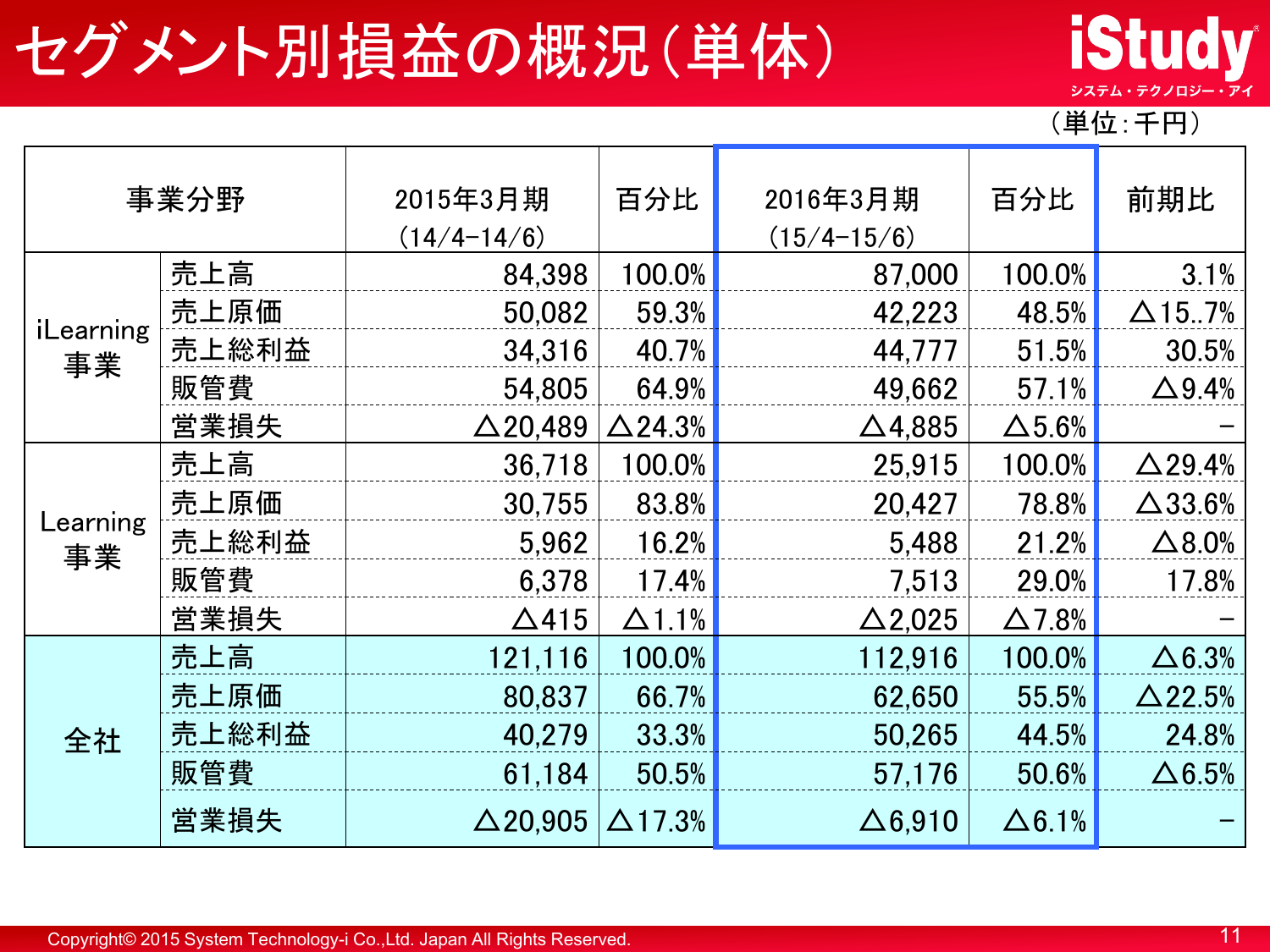## セグメント別損益の概況(単体)



(単位:千円)

|                 | 事業分野  | 2015年3月期<br>$(14/4 - 14/6)$ | 百分比            | 2016年3月期<br>$(15/4 - 15/6)$ | 百分比           | 前期比              |
|-----------------|-------|-----------------------------|----------------|-----------------------------|---------------|------------------|
|                 | 売上高   | 84,398                      | 100.0%         | 87,000                      | 100.0%        | 3.1%             |
|                 | 売上原価  | 50,082                      | 59.3%          | 42,223                      | 48.5%         | $\Delta$ 157%    |
| iLearning<br>事業 | 売上総利益 | 34,316                      | 40.7%          | 44,777                      | 51.5%         | 30.5%            |
|                 | 販管費   | 54.805                      | 64.9%          | 49,662                      | 57.1%         | $\Delta$ 9.4%    |
|                 | 営業損失  | $\triangle$ 20,489          | $\Delta$ 24.3% | $\Delta$ 4,885              | $\Delta$ 5.6% |                  |
|                 | 売上高   | 36,718                      | 100.0%         | 25,915                      | 100.0%        | $\Delta$ 29.4%   |
|                 | 売上原価  | 30,755                      | 83.8%          | 20,427                      | 78.8%         | $\Delta$ 33.6%   |
| Learning<br>事業  | 売上総利益 | 5,962                       | 16.2%          | 5,488                       | 21.2%         | $\triangle$ 8.0% |
|                 | 販管費   | 6,378                       | 17.4%          | 7.513                       | 29.0%         | 17.8%            |
|                 | 営業損失  | $\Delta$ 415                | $\Delta$ 1.1%  | $\Delta$ 2,025              | $\Delta$ 7.8% |                  |
|                 | 売上高   | 121,116                     | 100.0%         | 112,916                     | 100.0%        | $\Delta 6.3%$    |
|                 | 売上原価  | 80,837                      | 66.7%          | 62,650                      | 55.5%         | $\Delta$ 22.5%   |
| 全社              | 売上総利益 | 40,279                      | 33.3%          | 50,265                      | 44.5%         | 24.8%            |
|                 | 販管費   | 61,184                      | 50.5%          | 57,176                      | 50.6%         | $\Delta 6.5%$    |
|                 | 営業損失  | $\Delta$ 20,905             | $\Delta$ 17.3% | $\Delta$ 6,910              | $\Delta$ 6.1% |                  |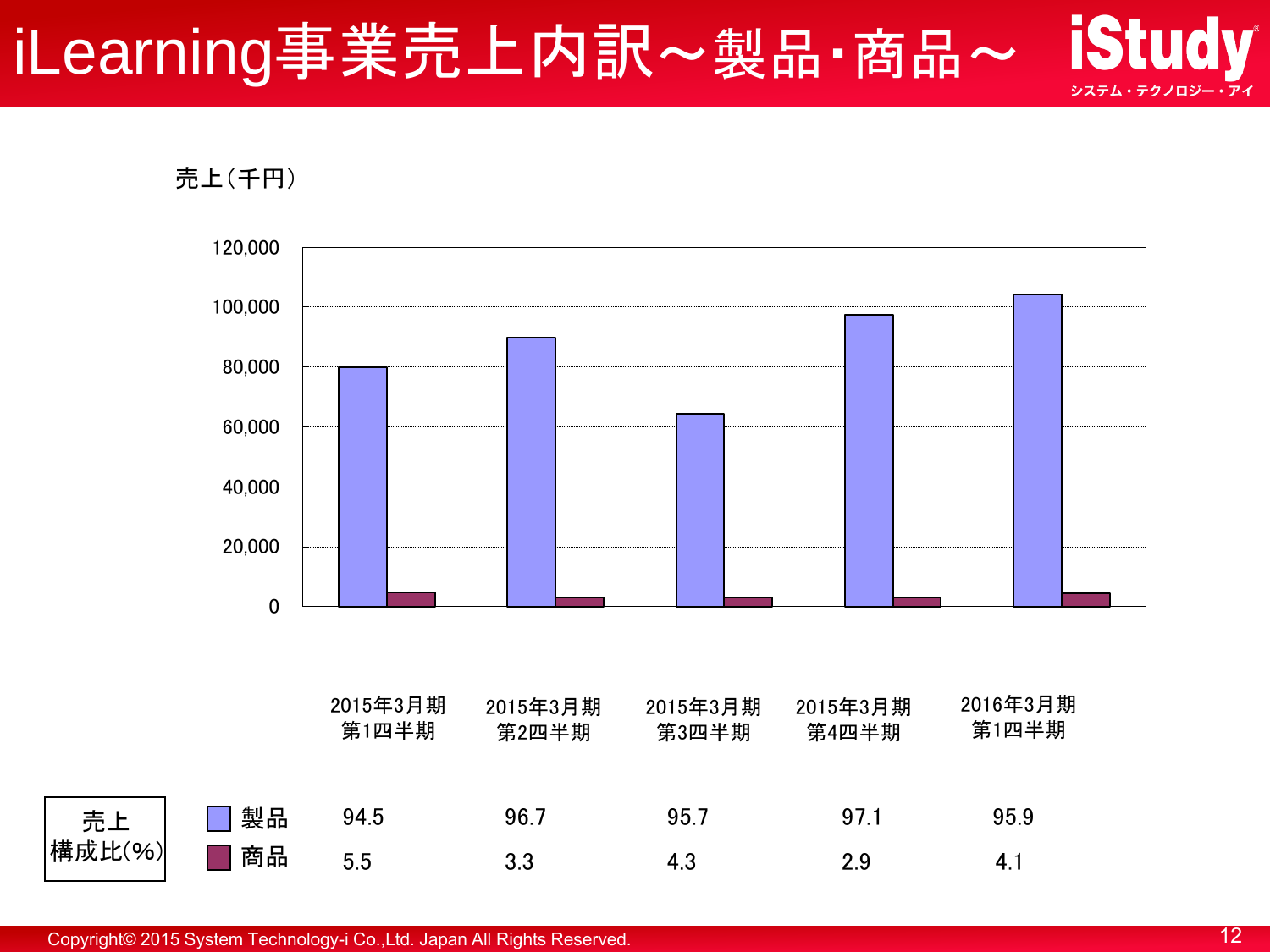#### **iStudy** iLearning事業売上内訳~製品·商品~ システム・テクノロジー・アイ



売上

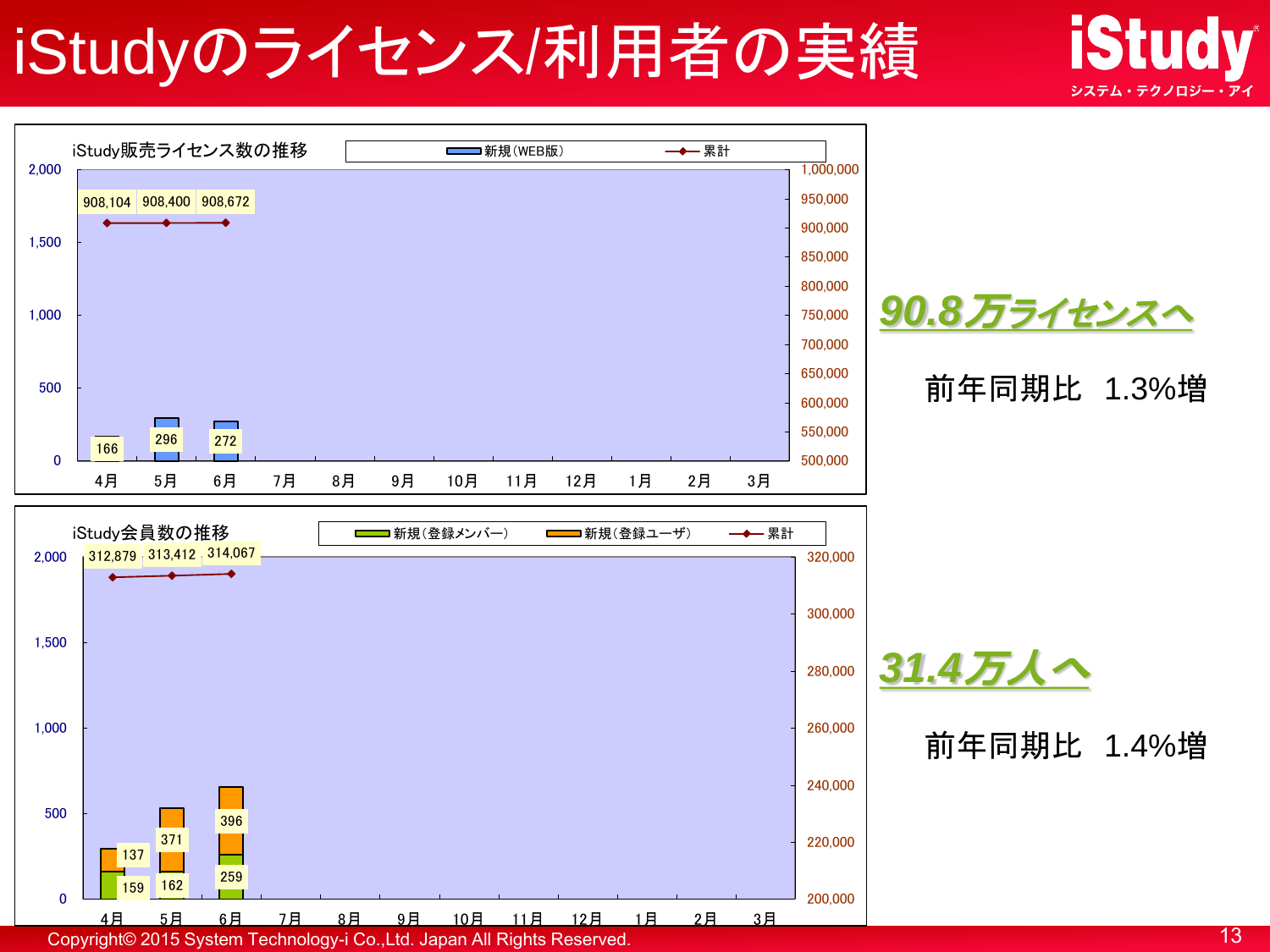## iStudyのライセンス/利用者の実績



**iStudy** 

システム・テクノロジー・アイ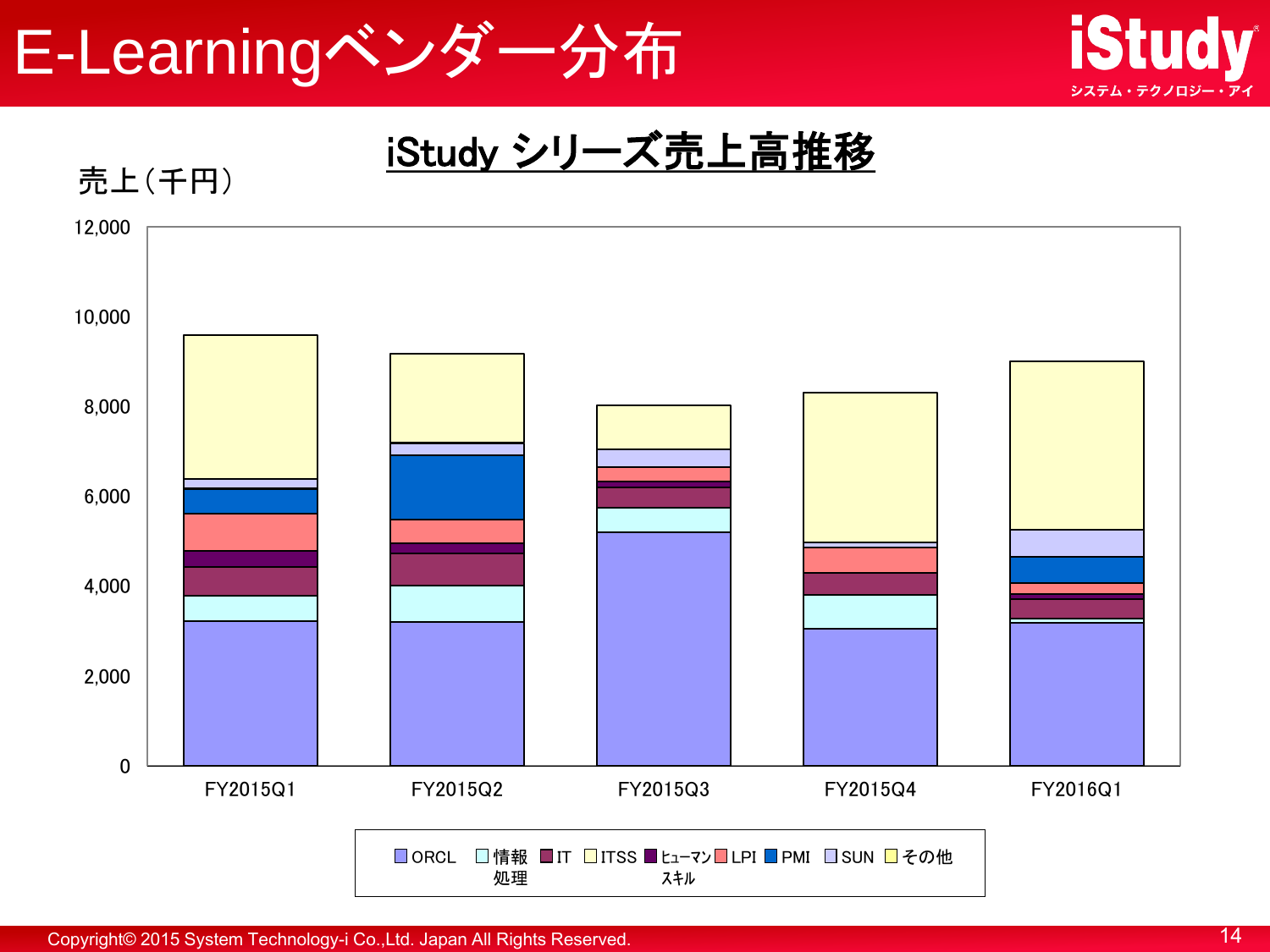



iStudy シリーズ売上高推移

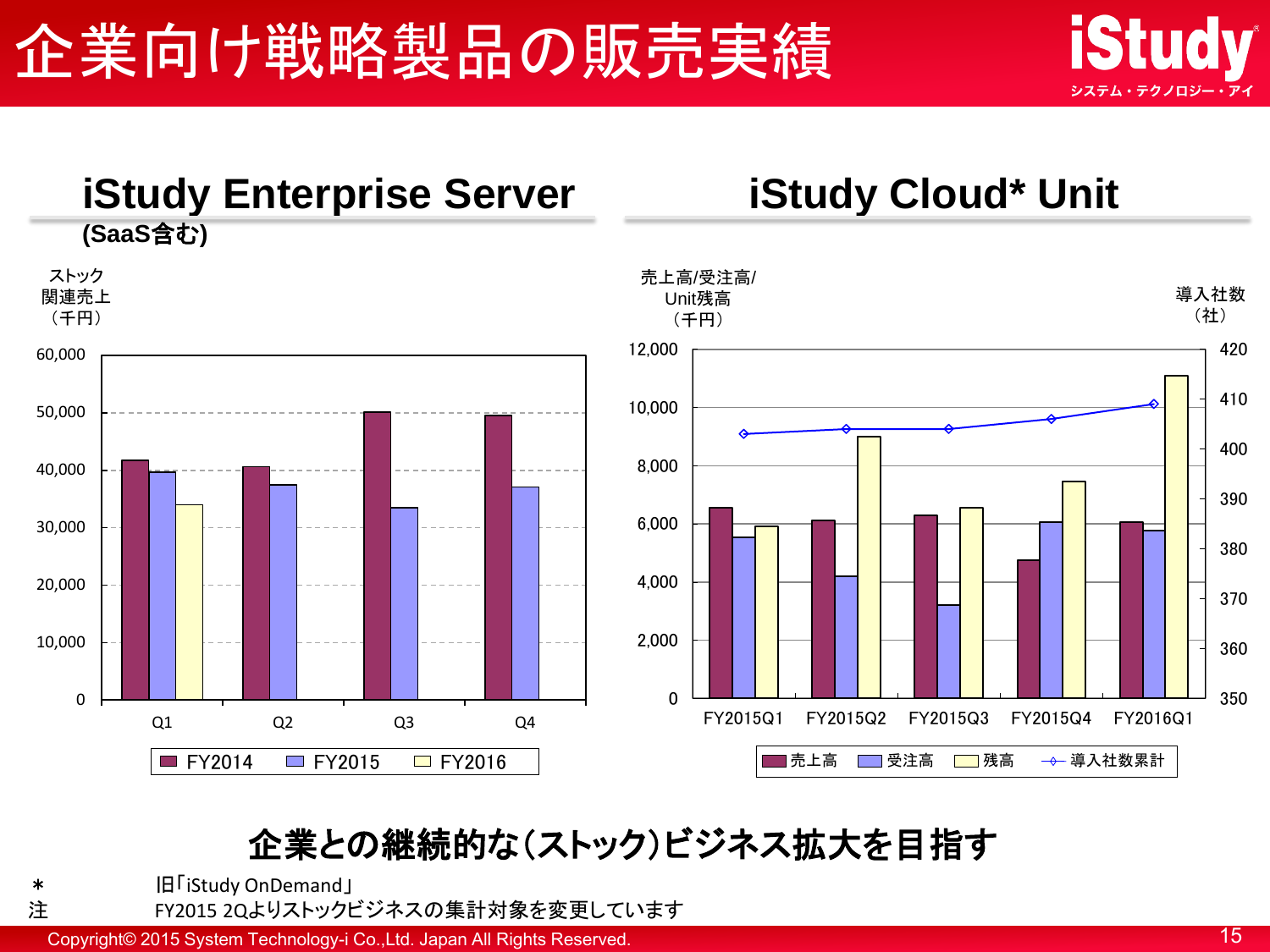



#### 企業との継続的な(ストック)ビジネス拡大を目指す

\* 旧「iStudy OnDemand」

注 FY2015 2Qよりストックビジネスの集計対象を変更しています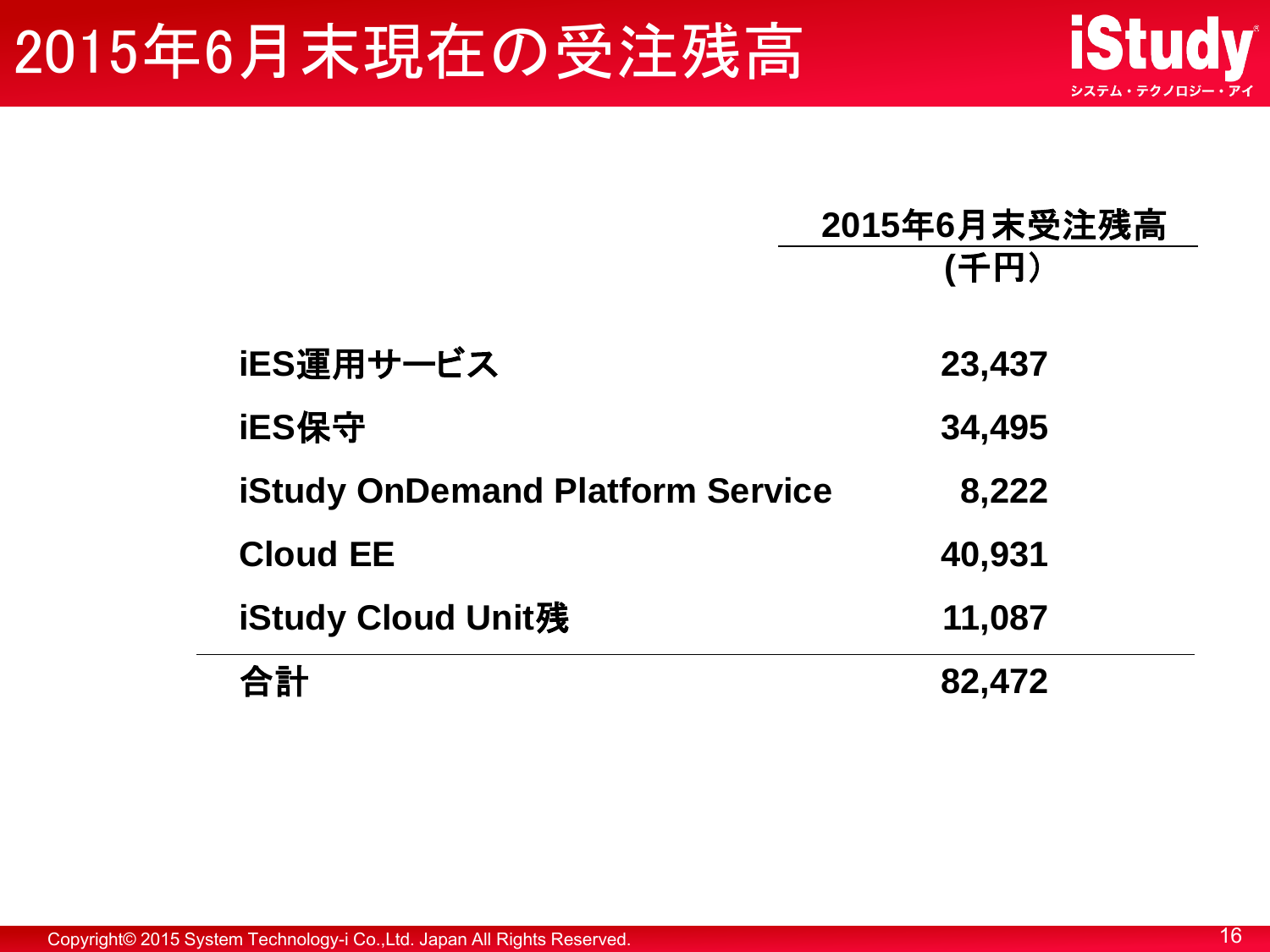## 2015年6月末現在の受注残高

|                                         | 2015年6月末受注残高<br>(千円) |
|-----------------------------------------|----------------------|
| iES運用サービス                               | 23,437               |
| iES保守                                   | 34,495               |
| <b>iStudy OnDemand Platform Service</b> | 8,222                |
| <b>Cloud EE</b>                         | 40,931               |
| iStudy Cloud Unit残                      | 11,087               |
|                                         | 82,472               |

Copyright© 2015 System Technology-i Co.,Ltd. Japan All Rights Reserved. 16

**iStudy** 

システム・テクノロジー・アイ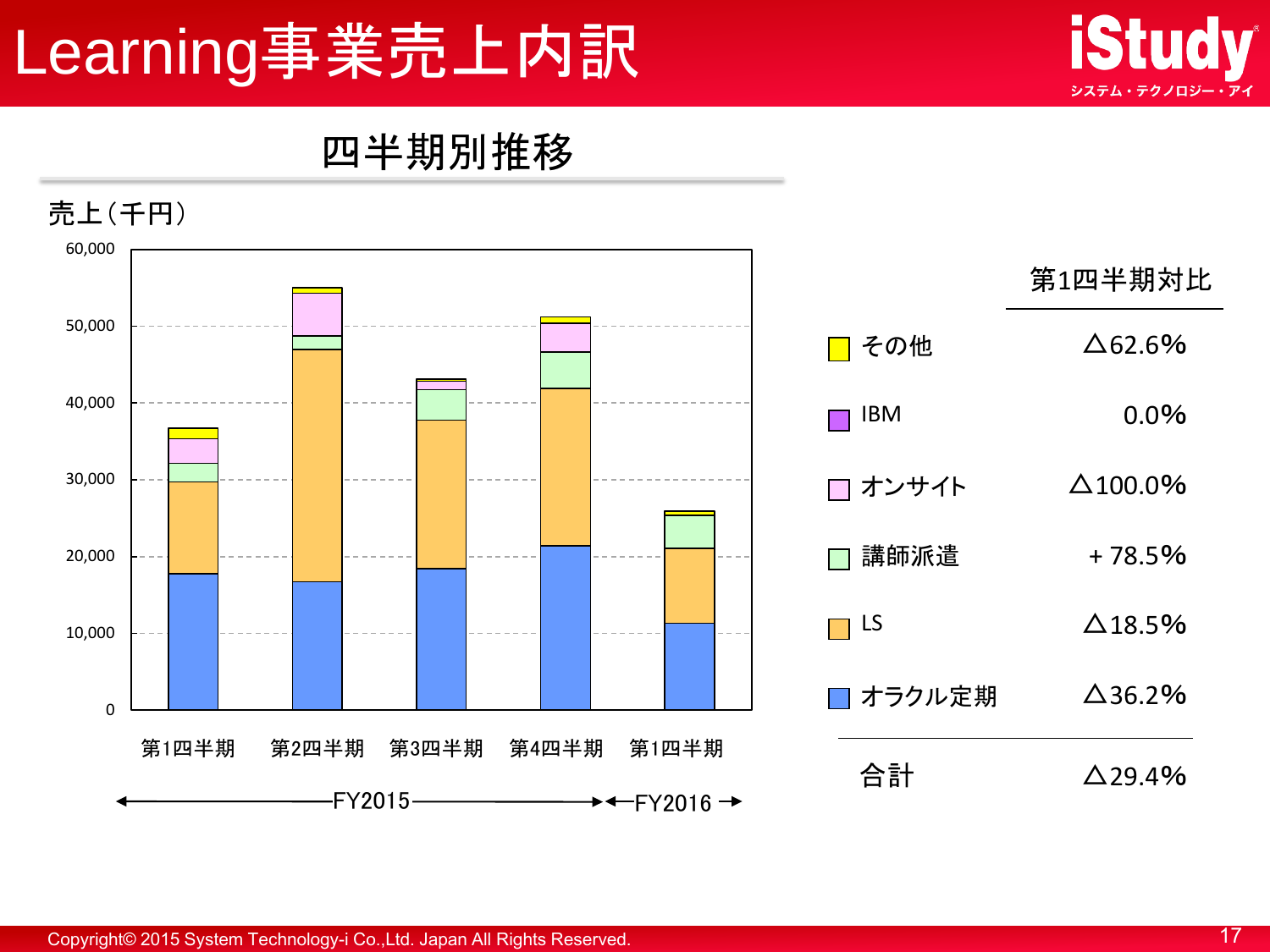## Learning事業売上内訳



#### 四半期別推移

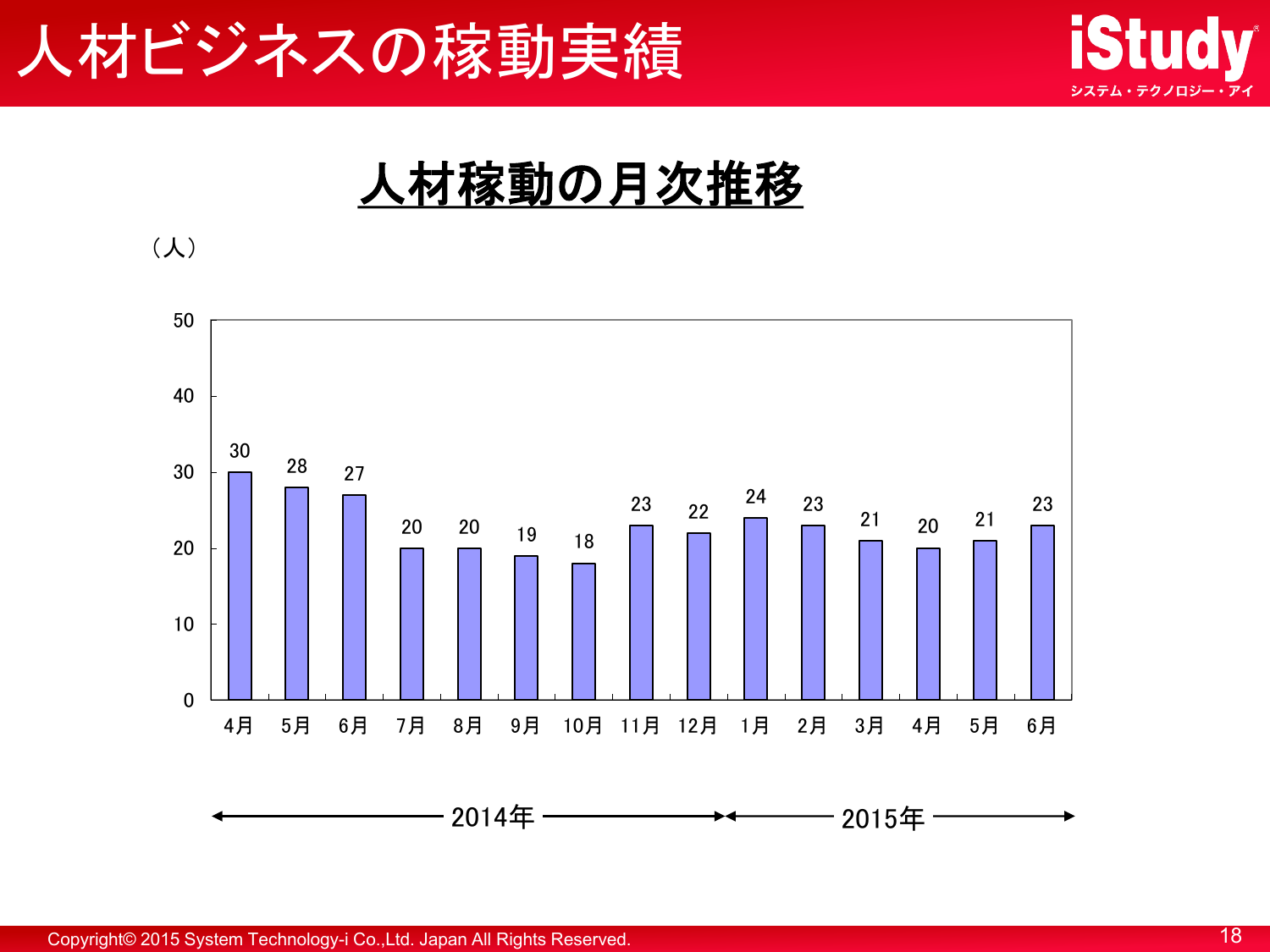





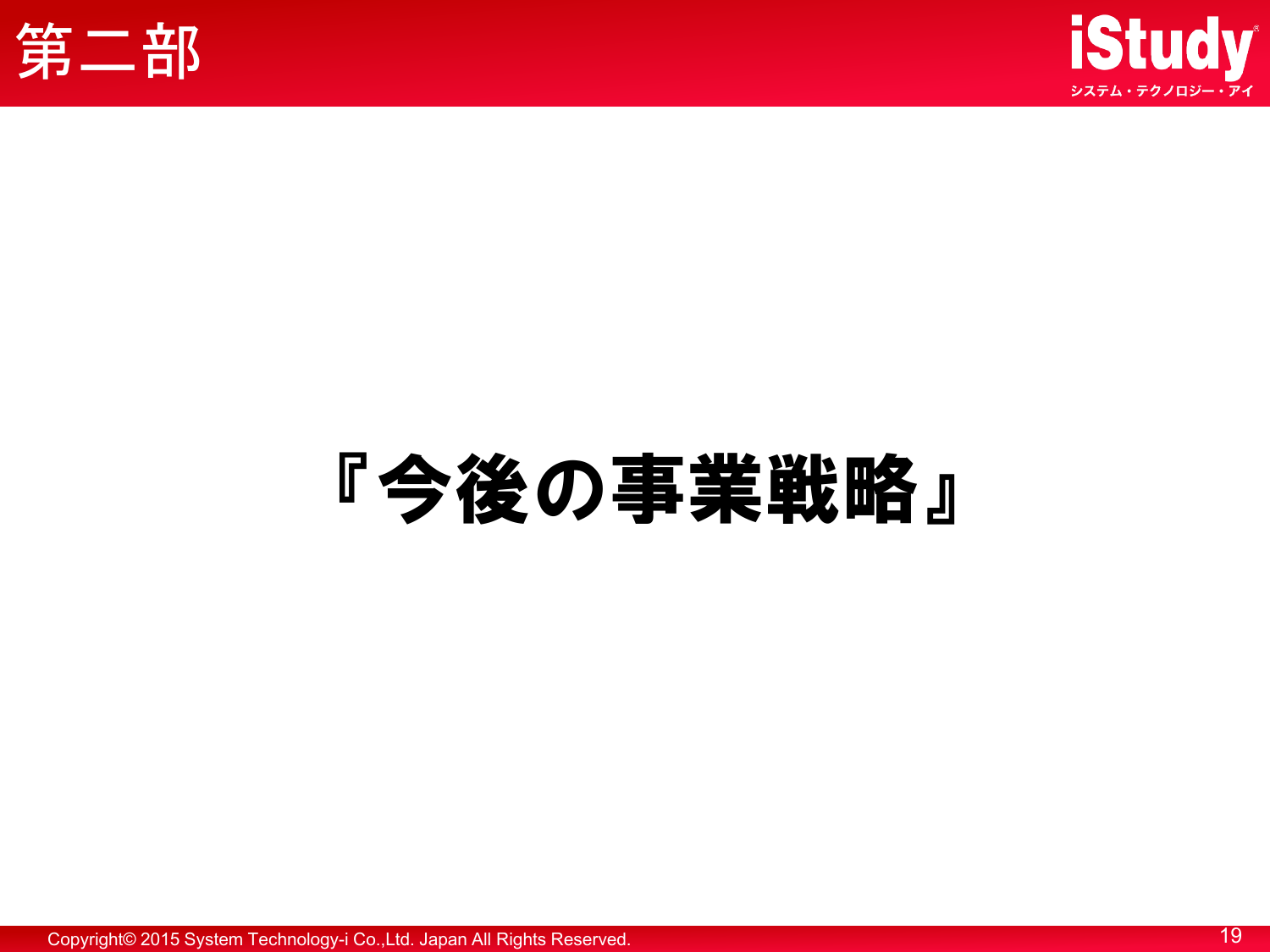



# 『今後の事業戦略』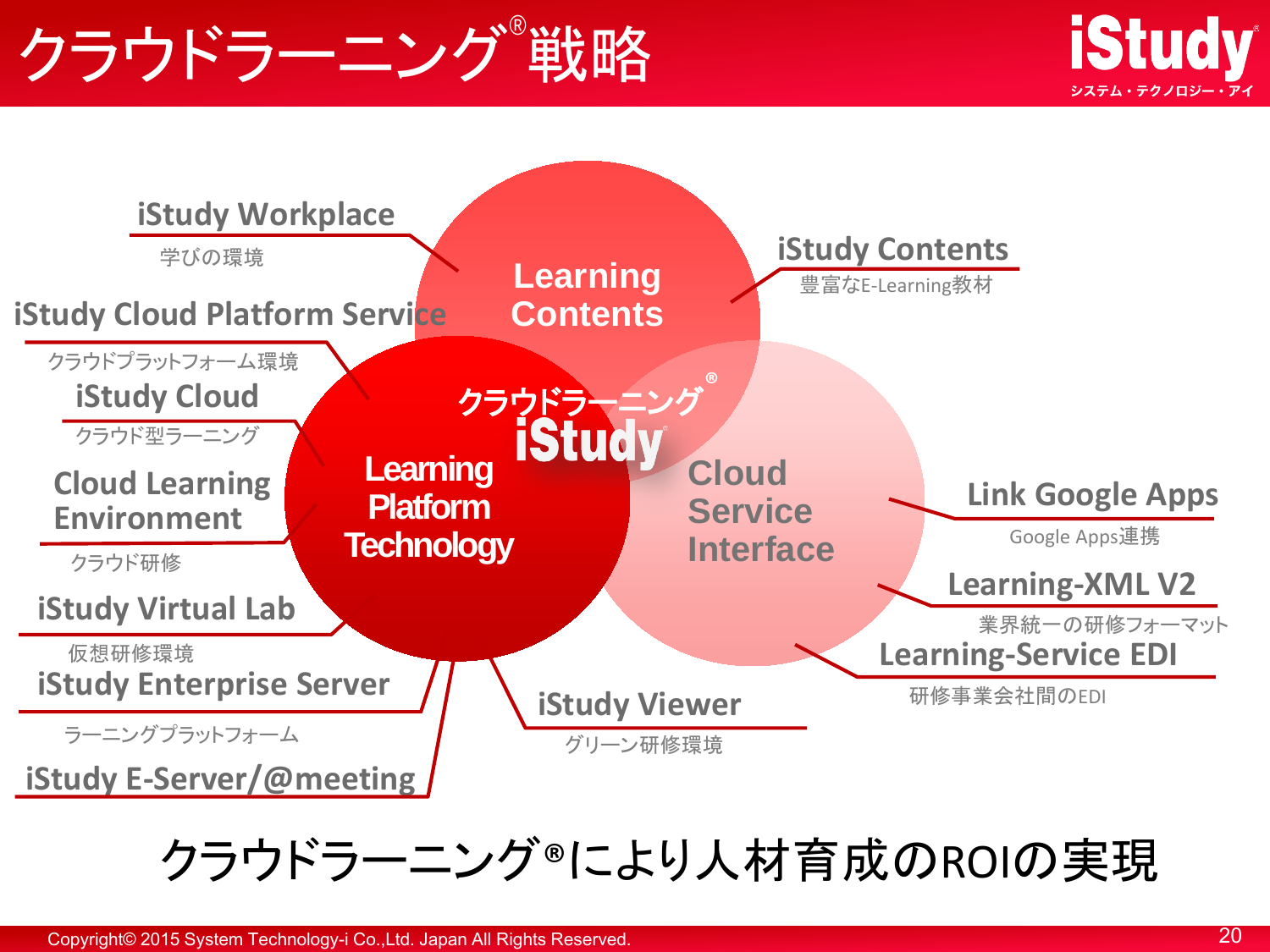## クラウドラーニング 戦略





クラウドラーニング®により人材育成のROIの実現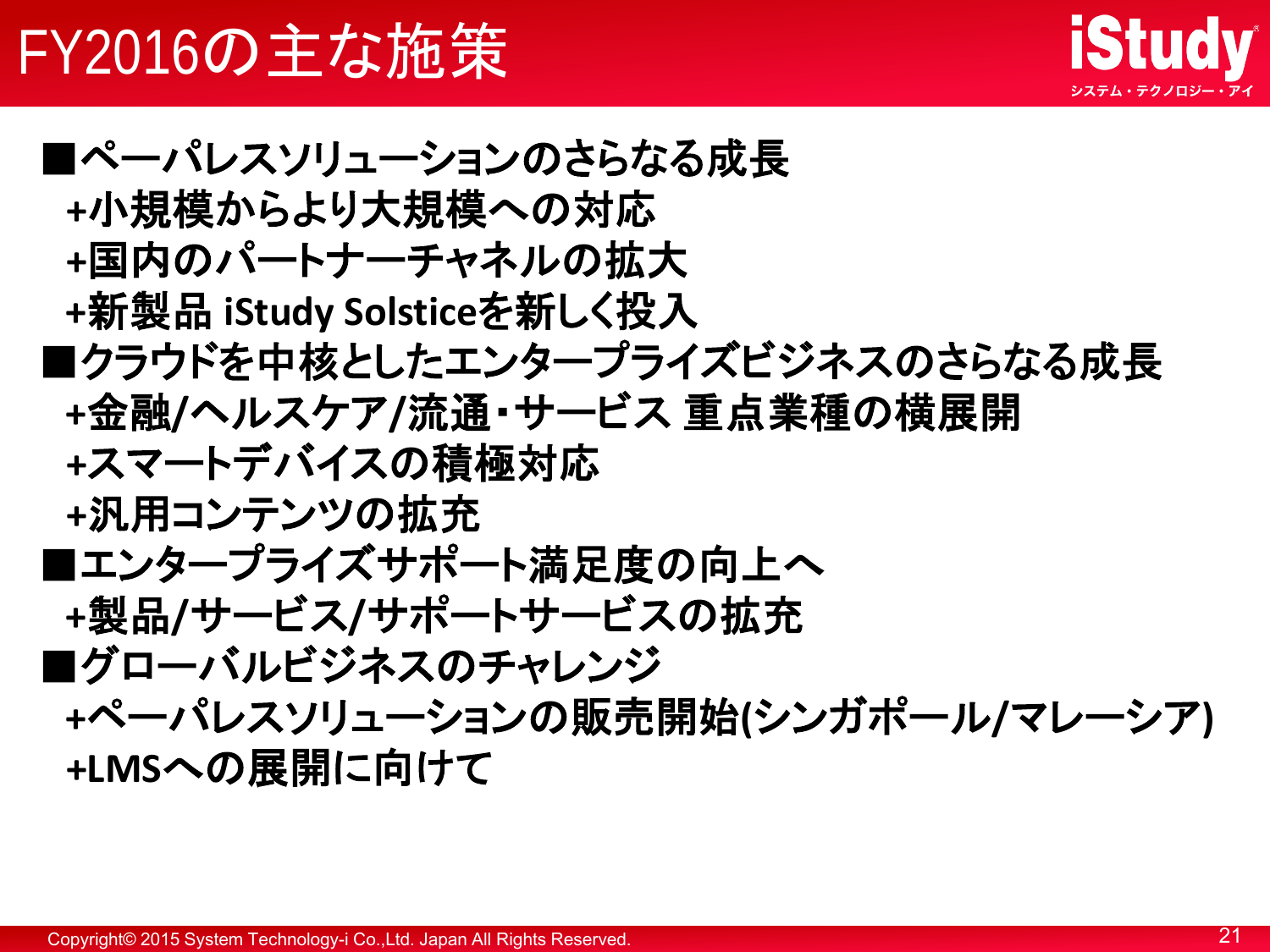## FY2016の主な施策



■ペーパレスソリューションのさらなる成長  **+**小規模からより大規模への対応  **+**国内のパートナーチャネルの拡大 **+**新製品 **iStudy Solstice**を新しく投入 ■クラウドを中核としたエンタープライズビジネスのさらなる成長 **+**金融**/**ヘルスケア**/**流通・サービス 重点業種の横展開  **+**スマートデバイスの積極対応  **+**汎用コンテンツの拡充 ■エンタープライズサポート満足度の向上へ **+**製品**/**サービス**/**サポートサービスの拡充 ■グローバルビジネスのチャレンジ **+**ペーパレスソリューションの販売開始**(**シンガポール**/**マレーシア**) +LMS**への展開に向けて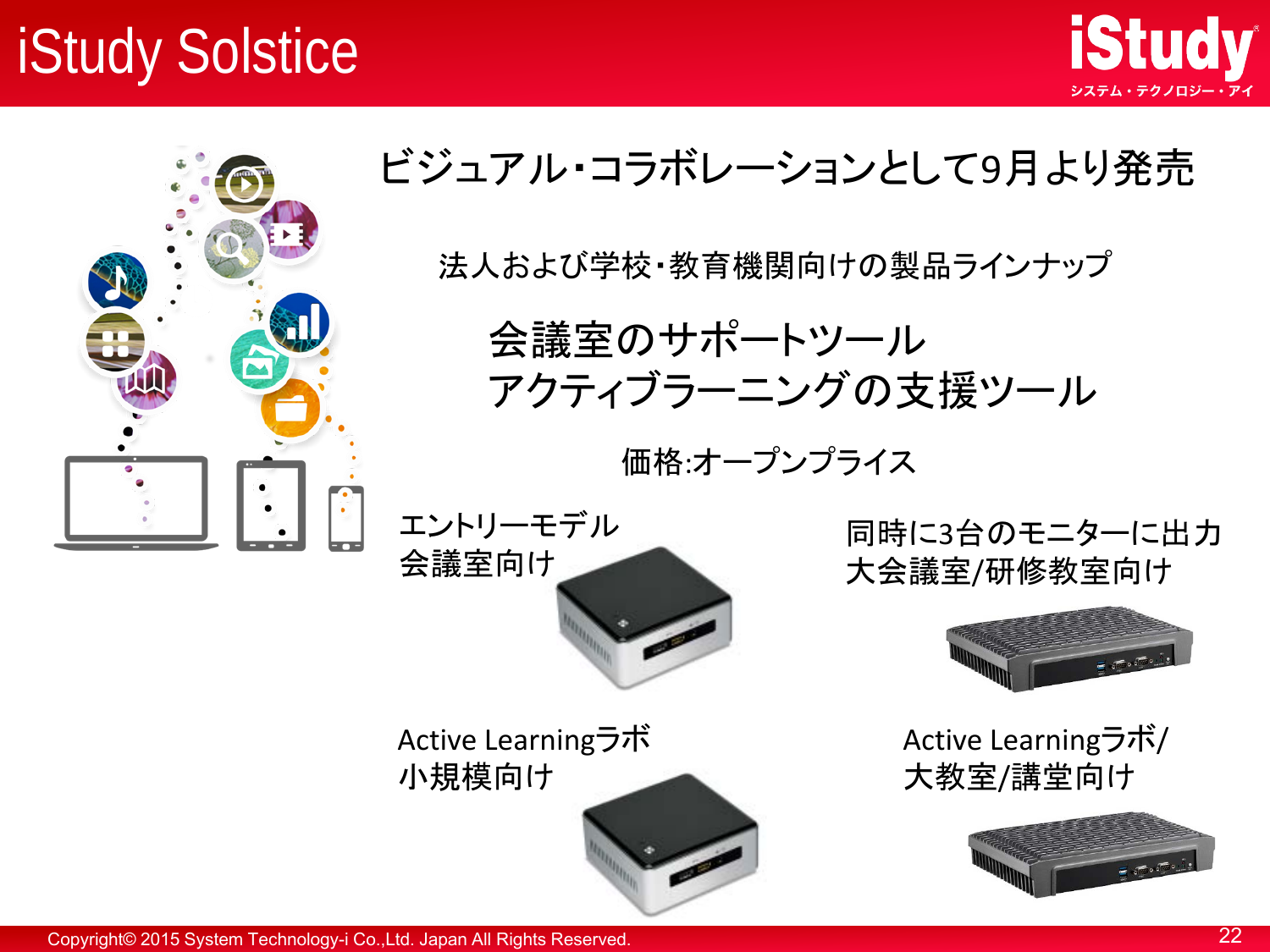## iStudy Solstice



#### ビジュアル・コラボレーションとして9月より発売

法人および学校・教育機関向けの製品ラインナップ

会議室のサポートツール アクティブラーニングの支援ツール

価格:オープンプライス

エントリーモデル 会議室向け

Active Learningラボ 小規模向け



同時に3台のモニターに出力 大会議室/研修教室向け



**iStudy** 

Active Learningラボ/ 大教室/講堂向け

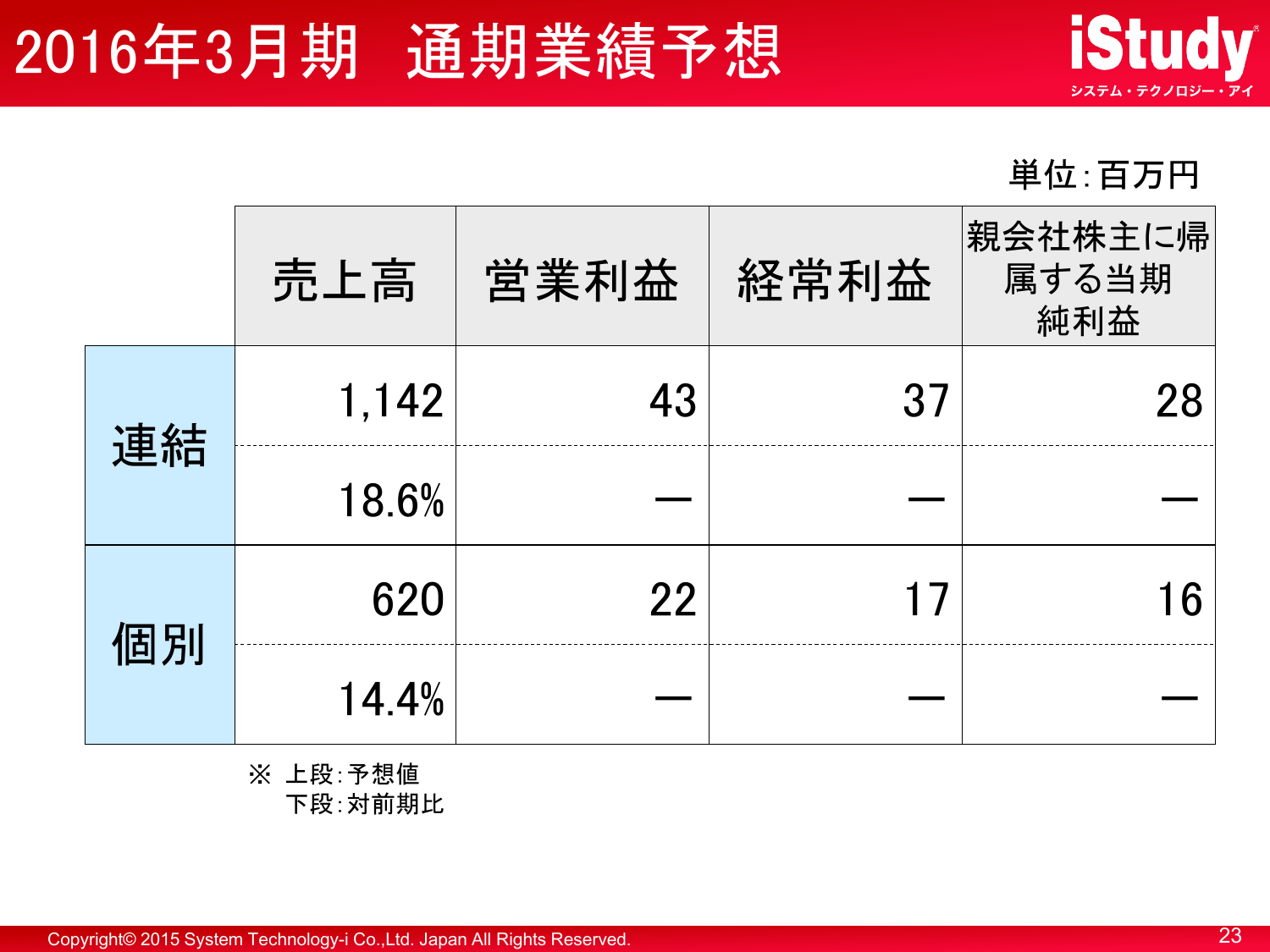## 2016年3月期 通期業績予想



単位:百万円

|    | 売上高   | 営業利益 | 経常利益 | 親会社株主に帰<br>属する当期<br>純利益 |
|----|-------|------|------|-------------------------|
| 連結 | 1,142 | 43   | 37   | 28                      |
|    | 18.6% |      |      |                         |
| 個別 | 620   | 22   | 1 7  | -6                      |
|    | 14.4% |      |      |                         |

※ 上段:予想値 下段:対前期比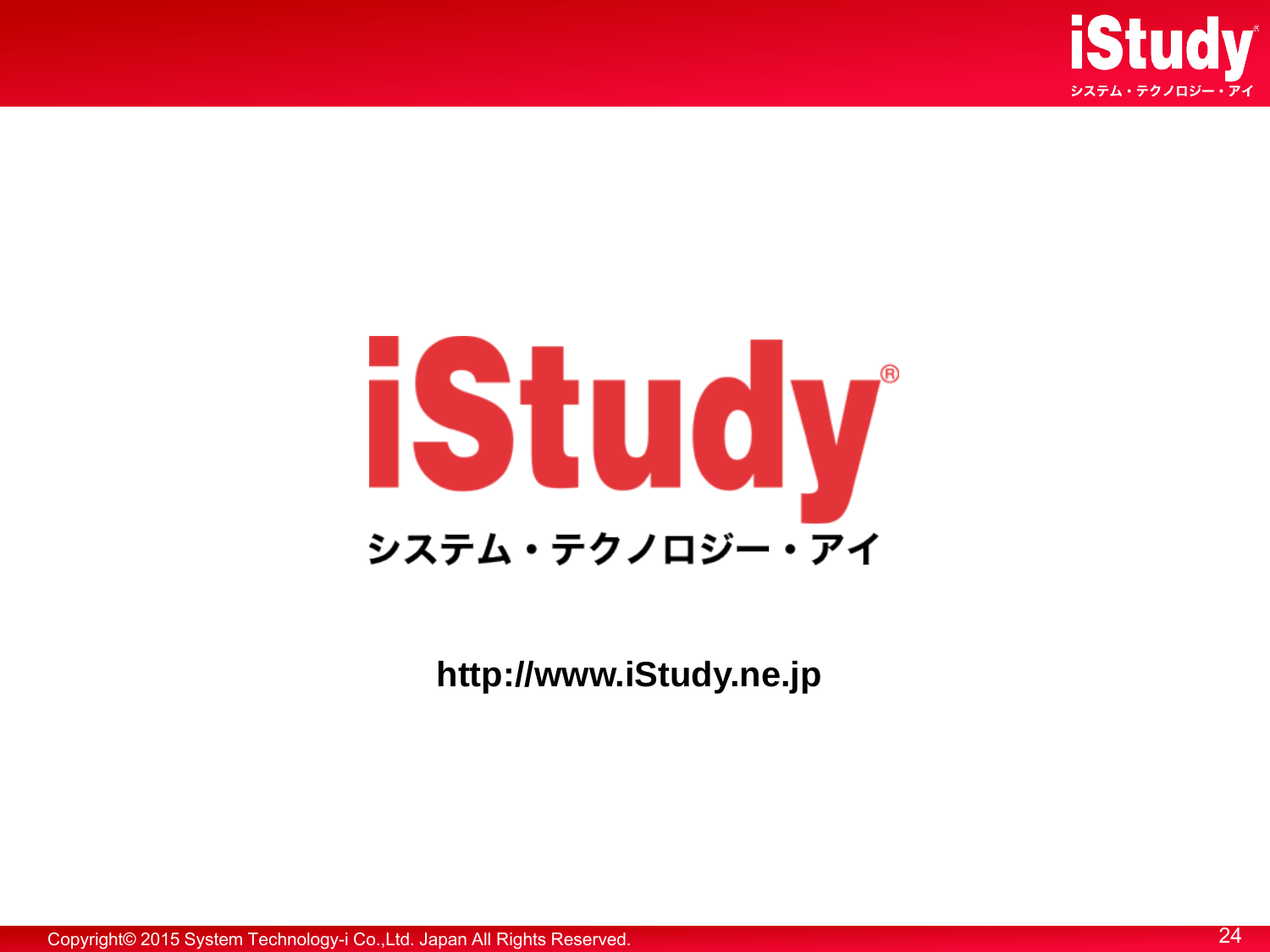



**http://www.iStudy.ne.jp**